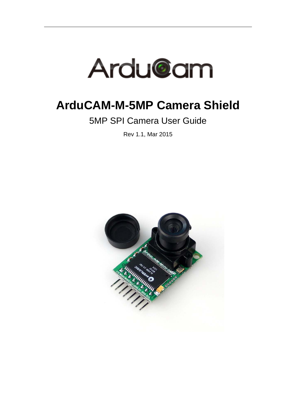

# **ArduCAM-M-5MP Camera Shield**

5MP SPI Camera User Guide

Rev 1.1, Mar 2015

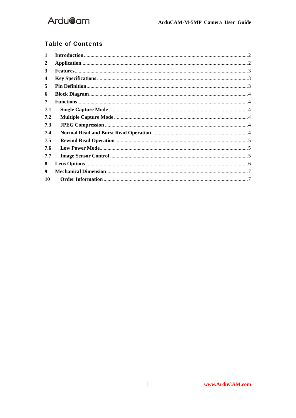

#### **Table of Contents**

| 2   |  |
|-----|--|
| 3   |  |
| 4   |  |
| 5   |  |
| 6   |  |
| 7   |  |
| 7.1 |  |
| 7.2 |  |
| 7.3 |  |
| 7.4 |  |
| 7.5 |  |
| 7.6 |  |
| 7.7 |  |
| 8   |  |
| 9   |  |
| 10  |  |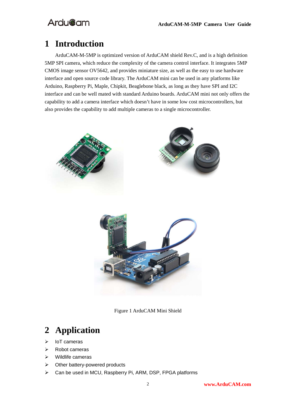# **1 Introduction**

ArduCAM-M-5MP is optimized version of ArduCAM shield Rev.C, and is a high definition 5MP SPI camera, which reduce the complexity of the camera control interface. It integrates 5MP CMOS image sensor OV5642, and provides miniature size, as well as the easy to use hardware interface and open source code library. The ArduCAM mini can be used in any platforms like Arduino, Raspberry Pi, Maple, Chipkit, Beaglebone black, as long as they have SPI and I2C interface and can be well mated with standard Arduino boards. ArduCAM mini not only offers the capability to add a camera interface which doesn't have in some low cost microcontrollers, but also provides the capability to add multiple cameras to a single microcontroller.



Figure 1 ArduCAM Mini Shield

# **2 Application**

- $\triangleright$  IoT cameras
- $\triangleright$  Robot cameras
- $\triangleright$  Wildlife cameras
- $\triangleright$  Other battery-powered products
- Can be used in MCU, Raspberry Pi, ARM, DSP, FPGA platforms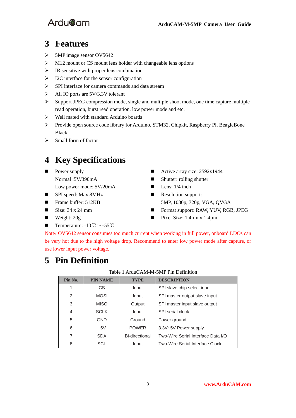### **3 Features**

- $\triangleright$  5MP image sensor OV5642
- $\triangleright$  M12 mount or CS mount lens holder with changeable lens options
- $\triangleright$  IR sensitive with proper lens combination
- > I2C interface for the sensor configuration
- SPI interface for camera commands and data stream
- $\triangleright$  All IO ports are 5V/3.3V tolerant
- $\triangleright$  Support JPEG compression mode, single and multiple shoot mode, one time capture multiple read operation, burst read operation, low power mode and etc.
- Well mated with standard Arduino boards
- Provide open source code library for Arduino, STM32, Chipkit, Raspberry Pi, BeagleBone Black
- $\triangleright$  Small form of factor

# **4 Key Specifications**

- **Power supply** Normal :5V/390mA Low power mode: 5V/20mA
- SPI speed: Max 8MHz **Resolution support:**
- 
- 
- 
- **■** Temperature:  $-10^{\circ}\text{C} \sim +55^{\circ}\text{C}$
- Active array size:  $2592x1944$
- Shutter: rolling shutter
- $\blacksquare$  Lens: 1/4 inch
- Frame buffer: 512KB 5MP, 1080p, 720p, VGA, QVGA
- Size: 34 x 24 mm **■** Format support: RAW, YUV, RGB, JPEG
- Weight:  $20g$  Pixel Size: 1.4 $\mu$ m x 1.4 $\mu$ m

Note:OV5642 sensor consumes too much current when working in full power, onboard LDOs can be very hot due to the high voltage drop. Recommend to enter low power mode after capture, or use lower input power voltage.

### **5 Pin Definition**

#### Table 1 ArduCAM-M-5MP Pin Definition

| Pin No.       | <b>PIN NAME</b> | <b>TYPE</b>    | <b>DESCRIPTION</b>                     |
|---------------|-----------------|----------------|----------------------------------------|
|               | СS              | Input          | SPI slave chip select input            |
| $\mathcal{P}$ | <b>MOSI</b>     | Input          | SPI master output slave input          |
| 3             | <b>MISO</b>     | Output         | SPI master input slave output          |
| 4             | <b>SCLK</b>     | Input          | SPI serial clock                       |
| 5             | <b>GND</b>      | Ground         | Power ground                           |
| 6             | $+5V$           | <b>POWER</b>   | 3.3V~5V Power supply                   |
|               | <b>SDA</b>      | Bi-directional | Two-Wire Serial Interface Data I/O     |
| 8             | SCL             | Input          | <b>Two-Wire Serial Interface Clock</b> |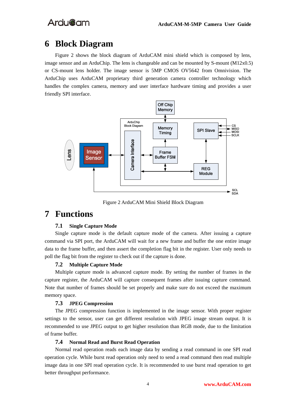### **6 Block Diagram**

Figure 2 shows the block diagram of ArduCAM mini shield which is composed by lens, image sensor and an ArduChip. The lens is changeable and can be mounted by S-mount (M12x0.5) or CS-mount lens holder. The image sensor is 5MP CMOS OV5642 from Omnivision. The ArduChip uses ArduCAM proprietary third generation camera controller technology which handles the complex camera, memory and user interface hardware timing and provides a user friendly SPI interface.



Figure 2 ArduCAM Mini Shield Block Diagram

### **7 Functions**

#### **7.1 Single Capture Mode**

Single capture mode is the default capture mode of the camera. After issuing a capture command via SPI port, the ArduCAM will wait for a new frame and buffer the one entire image data to the frame buffer, and then assert the completion flag bit in the register. User only needs to poll the flag bit from the register to check out if the capture is done.

#### **7.2 Multiple Capture Mode**

Multiple capture mode is advanced capture mode. By setting the number of frames in the capture register, the ArduCAM will capture consequent frames after issuing capture command. Note that number of frames should be set properly and make sure do not exceed the maximum memory space.

#### **7.3 JPEG Compression**

The JPEG compression function is implemented in the image sensor. With proper register settings to the sensor, user can get different resolution with JPEG image stream output. It is recommended to use JPEG output to get higher resolution than RGB mode, due to the limitation of frame buffer.

#### **7.4 Normal Read and Burst Read Operation**

Normal read operation reads each image data by sending a read command in one SPI read operation cycle. While burst read operation only need to send a read command then read multiple image data in one SPI read operation cycle. It is recommended to use burst read operation to get better throughput performance.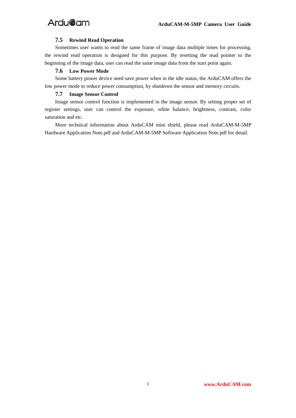#### **7.5 Rewind Read Operation**

Sometimes user wants to read the same frame of image data multiple times for processing, the rewind read operation is designed for this purpose. By resetting the read pointer to the beginning of the image data, user can read the same image data from the start point again.

#### **7.6 Low Power Mode**

Some battery power device need save power when in the idle status, the ArduCAM offers the low power mode to reduce power consumption, by shutdown the sensor and memory circuits.

#### **7.7 Image Sensor Control**

Image sensor control function is implemented in the image sensor. By setting proper set of register settings, user can control the exposure, white balance, brightness, contrast, color saturation and etc.

More technical information about ArduCAM mini shield, please read ArduCAM-M-5MP Hardware Application Note.pdf and ArduCAM-M-5MP Software Application Note.pdf for detail.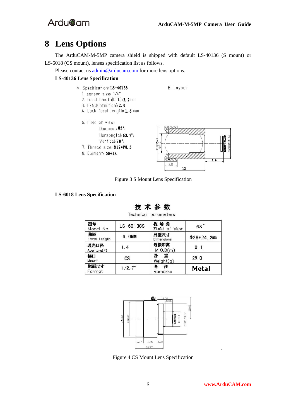## **8 Lens Options**

The ArduCAM-M-5MP camera shield is shipped with default LS-40136 (S mount) or LS-6018 (CS mount), lenses specification list as follows.

Please contact us  $\underline{admin@arducam.com}$  for more lens options.

#### **LS-40136 Lens Specification**

- A. Specification: LS-40136
	- 1. sensor size: 1/4"
	- 2. focal length(EFL): 3. 2 mm
	- 3. F/NO(infinition): 2. 0
	- 4. back focal length: 1.6 mm
	- 6. Field of view: Diagonal, 85°; Horzongtal, 63. 7°; Vertical, 70°; 7. Thread size: M12\*P0.5
	- 8. Element: 5E+IR



B. Layout

Figure 3 S Mount Lens Specification

#### **LS-6018 Lens Specification**



Technical parameters

| 型号<br>Model No.     | $LS-6018CS$ | 视场角<br>Field of View | 68°        |
|---------------------|-------------|----------------------|------------|
| 焦距<br>Focal Length  | 6. OMM      | 外型尺寸<br>Dimensions   | $Φ28*24.2$ |
| 通光口径<br>Aperture(F) | 1.4         | 近摄距离<br>M.O.D(m)     | 0.1        |
| 接口<br>Mount         | <b>CS</b>   | 净<br>重<br>Weight(q)  | 29.0       |
| 靶面尺寸<br>Format      | 1/2.7''     | 注<br>Remarks         | Metal      |



Figure 4 CS Mount Lens Specification